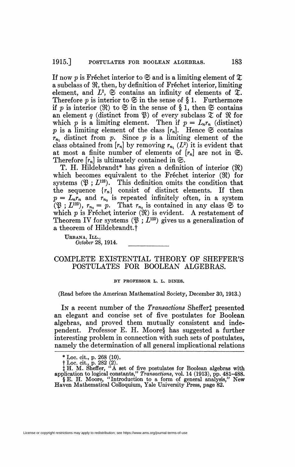If now p is Fréchet interior to  $\mathfrak S$  and is a limiting element of  $\mathfrak X$ a subclass of 9Î, then, by definition of Fréchet interior, limiting element, and  $L^2$ ,  $\mathfrak{S}$  contains an infinity of elements of  $\mathfrak{X}$ . Therefore  $p$  is interior to  $\mathfrak{S}$  in the sense of  $\S$  1. Furthermore if *p* is interior  $(\Re)$  to  $\Im$  in the sense of  $\S$  1, then  $\Im$  contains an element  $q$  (distinct from  $\mathfrak{P}$ ) of every subclass  $\mathfrak{T}$  of  $\mathfrak{R}$  for which *p* is a limiting element. Then if  $p = L_n r_n$  (distinct) p is a limiting element of the class  $[r_n]$ . Hence  $\mathfrak{S}$  contains  $r_{n_1}$  distinct from  $p$ . Since  $p$  is a limiting element of the class obtained from  $[r_n]$  by removing  $r_{n_1}(L^2)$  it is evident that at most a finite number of elements of  $[r_n]$  are not in  $\mathfrak{S}$ . Therefore  $[r_n]$  is ultimately contained in  $\mathfrak{S}$ .

T. H. Hildebrandt\* has given a definition of interior (9Î) which becomes equivalent to the Fréchet interior (H) for systems  $(\mathfrak{B}: L^{123})$ . This definition omits the condition that the sequence  $\{r_n\}$  consist of distinct elements. If then  $p = L_n r_n$  and  $r_{n_0}$  is repeated infinitely often, in a system  $(\mathfrak{P}; L^{123})$ ,  $r_{n_0} = p$ . That  $r_{n_0}$  is contained in any class  $\mathfrak{S}$  to which  $p$  is Fréchet interior  $(\mathfrak{R})$  is evident. A restatement of Theorem IV for systems  $(\mathfrak{P}; L^{123})$  gives us a generalization of a theorem of Hildebrandt.f

Urbana, Ill., *October* 28, 1914.

# COMPLETE EXISTENTIAL THEORY OF SHEFFER'S POSTULATES FOR BOOLEAN ALGEBRAS.

#### BY PROFESSOR L. L. DINES.

(Read before the American Mathematical Society, December 30, 1913.)

In a recent number of the *Transactions* Sheffert presented an elegant and concise set of five postulates for Boolean algebras, and proved them mutually consistent and independent. Professor E. H. Moore§ has suggested a further interesting problem in connection with such sets of postulates, namely the determination of all general implicational relations

License or copyright restrictions may apply to redistribution; see https://www.ams.org/journal-terms-of-use

<sup>\*</sup> Loc. cit., p. 268 (10).

 $\frac{1}{2}$  Loc. cit., p. 282 (2).

 $\ddagger$  H. M. Sheffer, "A set of five postulates for Boolean algebras with<br>application to logical constants," Transactions, vol. 14 (1913), pp. 481–488.<br> $\S E$ . H. Moore, "Introduction to a form of general analysis," New<br>Have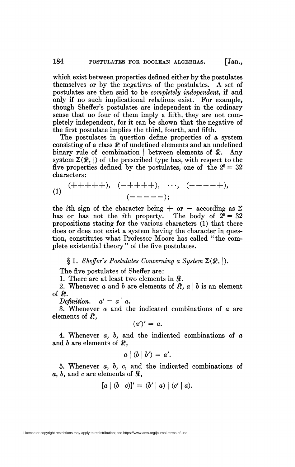which exist between properties defined either by the postulates themselves or by the negatives of the postulates. A set of postulates are then said to be *completely independent,* if and only if no such implicational relations exist. For example, though Sheffer's postulates are independent in the ordinary sense that no four of them imply a fifth, they are not completely independent, for it can be shown that the negative of the first postulate implies the third, fourth, and fifth.

The postulates in question define properties of a system consisting of a class  $\Re$  of undefined elements and an undefined binary rule of combination | between elements of  $\Re$ . Any system  $\Sigma(\mathbb{R}, \cdot)$  of the prescribed type has, with respect to the five properties defined by the postulates, one of the  $2^5 = 32$ characters:

(1) 
$$
(+++++), (-++++), \cdots, (----+),
$$
  
 $(----);$ 

the *i*th sign of the character being  $+$  or  $-$  according as  $\Sigma$ has or has not the *i*th property. The body of  $2^5 = 32$ propositions stating for the various characters (1) that there does or does not exist a system having the character in question, constitutes what Professor Moore has called "the complete existential theory" of the five postulates.

## $\S 1.$  *Sheffer's Postulates Concerning a System*  $\Sigma(\Re, |).$

The five postulates of Sheffer are:

1. There are at least two elements in *\$.* 

2. Whenever *a* and *b* are elements of  $\mathcal{R}$ ,  $a \mid b$  is an element of  $\Re$ .<br>*Definition.*  $a' = a | a$ .

 $D$  *ginition*,  $\alpha$  and the angle  $\alpha$ . 3» Whenever *a* and the indicated combinations of *a* are elements of  $\mathbb{R}$ ,

$$
(a')' = a.
$$

 $\frac{1}{1}$   $\frac{1}{1}$   $\frac{1}{1}$   $\frac{1}{1}$ 4. Whenever  $a, b,$  and the indicated combinations of  $a$ and  $b$  are elements of  $\Re$ .

$$
a \mid (b \mid b') = a'.
$$

5. Whenever a, *b, c,* and the indicated combinations of  $a, b,$  and  $c$  are elements of  $\Re$ ,

$$
[a | (b | c)]' = (b' | a) | (c' | a).
$$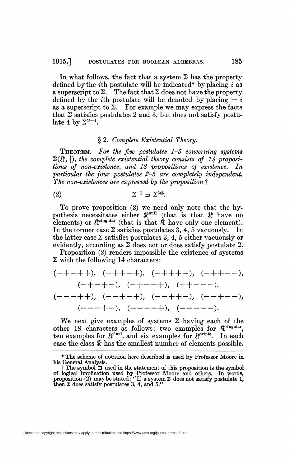In what follows, the fact that a system  $\Sigma$  has the property defined by the *iih* postulate will be indicated\* by placing *i* as a superscript to  $\Sigma$ . The fact that  $\Sigma$  does not have the property defined by the *i*th postulate will be denoted by placing  $\overline{\phantom{a}}$  – *i* as a superscript to  $\bar{\Sigma}$ . For example we may express the facts that  $\Sigma$  satisfies postulates 2 and 3, but does not satisfy postulate 4 by  $\Sigma^{23-4}$ .

### § 2. *Complete Existential Theory.*

THEOREM. *For the five postulates 1-5 concerning systems*   $\Sigma(\mathbb{R}, |),$  the complete existential theory consists of 14 proposi*tions of non-existence, and 18 propositions of existence. In particular the four postulates 2-5 are completely independent. The non-existences are expressed by the proposition* f

$$
\Sigma^{-1} \supset \Sigma^{345}.
$$

To prove proposition (2) we need only note that the hypothesis necessitates either  $\mathbb{R}^{null}$  (that is that  $\mathbb R$  have no elements) or  $\mathbb{R}^{\text{singular}}$  (that is that  $\hat{\mathbb{R}}$  have only one element). In the former case  $\Sigma$  satisfies postulates 3, 4, 5 vacuously. In the latter case  $\Sigma$  satisfies postulates 3, 4, 5 either vacuously or evidently, according as  $\Sigma$  does not or does satisfy postulate 2.

Proposition (2) renders impossible the existence of systems  $\Sigma$  with the following 14 characters:

$$
(-+-++), (-++-+), (-+++-), (-++--),
$$
  
\n $(-+-+-), (-+--+), (-+---),$   
\n $(---++), (--+-+), (--++-), (--+--),$   
\n $(---+-), (----+), (-----).$ 

We next give examples of systems  $\Sigma$  having each of the other 18 characters as follows: two examples for  $\mathbb{R}^{\text{singular}}$ , ten examples for  $\mathbb{R}^{dual}$ , and six examples for  $\mathbb{R}^{triple}$ . In each case the class  $\mathcal{R}$  has the smallest number of elements possible.

License or copyright restrictions may apply to redistribution; see https://www.ams.org/journal-terms-of-use

<sup>\*</sup> The scheme of notation here described is used by Professor Moore in his General Analysis.

 $\dagger$  The symbol  $\Box$  used in the statement of this proposition is the symbol<br>of logical implication used by Professor Moore and others. In words,<br>proposition (2) may be stated: "If a system  $\Sigma$  does not satisfy postulate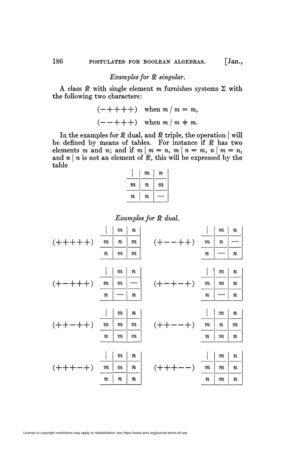# *Examples for*  $\Re$  *singular.*

A class  $\Re$  with single element m furnishes systems  $\Sigma$  with the following two characters:

$$
(-++++) \quad \text{when } m \mid m = m,
$$

$$
(--+++) \quad \text{when } m \mid m \neq m.
$$

In the examples for  $\mathcal R$  dual, and  $\mathcal R$  triple, the operation  $|$  will be defined by means of tables. For instance if *\$t* has two elements m and n; and if  $m \mid m = n, m \mid n = m, n \mid m = n$ , and  $n \mid n$  is not an element of  $\mathbb{R}$ , this will be expressed by the table

|         | $\it m$ | $\it n$ |
|---------|---------|---------|
| m       | п       | m       |
| $\it n$ | $\it n$ |         |

*Examples for & dual.* 

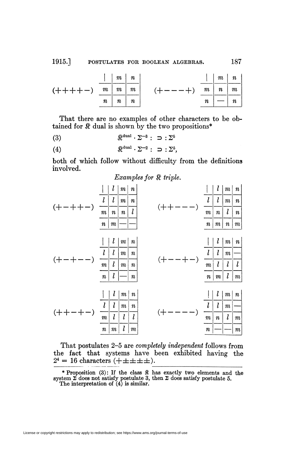1915.] POSTULATES FOR BOOLEAN ALGEBRAS. 187

|                                 |                   | $\vert m \vert n$ |   | $\vert$ $m \vert n$ |                  |
|---------------------------------|-------------------|-------------------|---|---------------------|------------------|
| $(+ + + + -)$ $m \mid m \mid m$ |                   |                   |   | $m \mid n \mid m$   |                  |
|                                 | $n \mid n \mid n$ |                   | n |                     | $\boldsymbol{n}$ |

That there are no examples of other characters to be obtained for  $\mathbb R$  dual is shown by the two propositions\*

(3)  $\qquad \qquad \mathfrak{R}^{\text{dual}} \cdot \Sigma^{-3} : \ \Rightarrow : \Sigma^5$ 

(4)  $\mathbb{R}^{\text{dual}} \cdot \Sigma^{-2} : \supset \Sigma^5$ ,

both of which follow without difficulty from the definitions involved.

*Examples for \$t triple.* 

| l<br>$\iota$<br>l<br>$\boldsymbol{m}$<br>$\pmb{n}$<br>$\pmb n$<br>$\it m$       | $\it m$<br>$\pmb{n}$<br>$\it m$<br>$\pmb{n}$<br>l<br>$\pmb{n}$                                  |    | l<br>$\it m$<br>$\pmb{n}$          | $\boldsymbol{l}$<br>l<br>$\it n$<br>$\it m$          | $\it m$<br>$\it m$<br>$\boldsymbol{l}$<br>$\pmb{n}$                 | $\it n$<br>$\it n$<br>$\pmb{n}$<br>$\it m$ |  |
|---------------------------------------------------------------------------------|-------------------------------------------------------------------------------------------------|----|------------------------------------|------------------------------------------------------|---------------------------------------------------------------------|--------------------------------------------|--|
| l<br>$\boldsymbol{l}$<br>l<br>l<br>$\boldsymbol{m}$<br>l<br>$\pmb{n}$           | $\boldsymbol{m}$<br>$\boldsymbol{n}$<br>$\it m$<br>$\pmb{n}$<br>$\it m$<br>$\pmb{n}$<br>$\it n$ |    | l<br>$\boldsymbol{m}$<br>$\pmb{n}$ | l<br>$\boldsymbol{l}$<br>$\boldsymbol{l}$<br>$\it m$ | $\boldsymbol{m}$<br>$\it m$<br>$\boldsymbol{l}$<br>$\boldsymbol{l}$ | $\pmb n$<br>$\boldsymbol{l}$<br>$\it m$    |  |
| l<br>$\boldsymbol{l}$<br>l<br>$\overline{l}$<br>$\it m$<br>$\pmb{n}$<br>$\it m$ | $\it m$<br>$\pmb{n}$<br>$\it m$<br>$\boldsymbol{n}$<br>$\boldsymbol{l}$<br>l<br>l<br>$\it m$    | (+ | l<br>$\boldsymbol{m}$<br>$\pmb{n}$ | l<br>l<br>$\it n$                                    | $\boldsymbol{m}$<br>$\it m$<br>$\boldsymbol{l}$                     | $\pmb{n}$<br>$\it m$<br>$\it m$            |  |

That postulates 2-5 are *completely independent* follows from the fact that systems have been exhibited having the  $2^4 = 16$  characters  $(\pm \pm \pm \pm \pm).$ 

\* Proposition (3): If the class  $\Re$  has exactly two elements and the system  $\Sigma$  does not satisfy postulate 3, then  $\Sigma$  does satisfy postulate 5. The interpretation of (4) is similar.

License or copyright restrictions may apply to redistribution; see https://www.ams.org/journal-terms-of-use